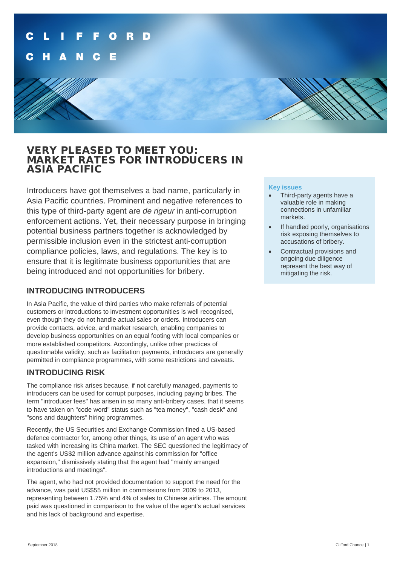## VERY PLEASED TO MEET YOU: MARKET RATES FOR INTRODUCERS IN ASIA PACIFIC

Introducers have got themselves a bad name, particularly in Asia Pacific countries. Prominent and negative references to this type of third-party agent are *de rigeur* in anti-corruption enforcement actions. Yet, their necessary purpose in bringing potential business partners together is acknowledged by permissible inclusion even in the strictest anti-corruption compliance policies, laws, and regulations. The key is to ensure that it is legitimate business opportunities that are being introduced and not opportunities for bribery.

### **INTRODUCING INTRODUCERS**

In Asia Pacific, the value of third parties who make referrals of potential customers or introductions to investment opportunities is well recognised, even though they do not handle actual sales or orders. Introducers can provide contacts, advice, and market research, enabling companies to develop business opportunities on an equal footing with local companies or more established competitors. Accordingly, unlike other practices of questionable validity, such as facilitation payments, introducers are generally permitted in compliance programmes, with some restrictions and caveats.

### **INTRODUCING RISK**

The compliance risk arises because, if not carefully managed, payments to introducers can be used for corrupt purposes, including paying bribes. The term "introducer fees" has arisen in so many anti-bribery cases, that it seems to have taken on "code word" status such as "tea money", "cash desk" and "sons and daughters" hiring programmes.

Recently, the US Securities and Exchange Commission fined a US-based defence contractor for, among other things, its use of an agent who was tasked with increasing its China market. The SEC questioned the legitimacy of the agent's US\$2 million advance against his commission for "office expansion," dismissively stating that the agent had "mainly arranged introductions and meetings".

The agent, who had not provided documentation to support the need for the advance, was paid US\$55 million in commissions from 2009 to 2013, representing between 1.75% and 4% of sales to Chinese airlines. The amount paid was questioned in comparison to the value of the agent's actual services and his lack of background and expertise.

### **Key issues**

- Third-party agents have a valuable role in making connections in unfamiliar markets.
- If handled poorly, organisations risk exposing themselves to accusations of bribery.
- Contractual provisions and ongoing due diligence represent the best way of mitigating the risk.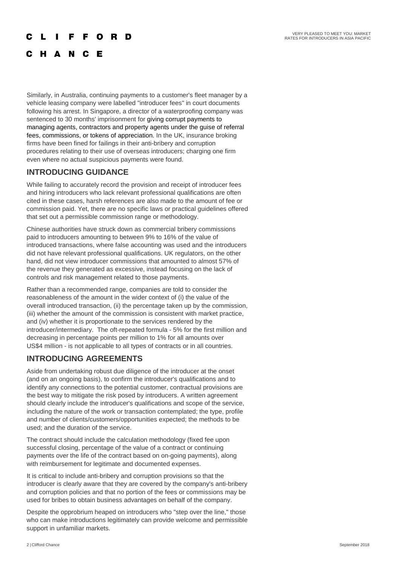### O D F

### C H A N C E

Similarly, in Australia, continuing payments to a customer's fleet manager by a vehicle leasing company were labelled "introducer fees" in court documents following his arrest. In Singapore, a director of a waterproofing company was sentenced to 30 months' imprisonment for giving corrupt payments to managing agents, contractors and property agents under the guise of referral fees, commissions, or tokens of appreciation. In the UK, insurance broking firms have been fined for failings in their anti-bribery and corruption procedures relating to their use of overseas introducers; charging one firm even where no actual suspicious payments were found.

### **INTRODUCING GUIDANCE**

While failing to accurately record the provision and receipt of introducer fees and hiring introducers who lack relevant professional qualifications are often cited in these cases, harsh references are also made to the amount of fee or commission paid. Yet, there are no specific laws or practical guidelines offered that set out a permissible commission range or methodology.

Chinese authorities have struck down as commercial bribery commissions paid to introducers amounting to between 9% to 16% of the value of introduced transactions, where false accounting was used and the introducers did not have relevant professional qualifications. UK regulators, on the other hand, did not view introducer commissions that amounted to almost 57% of the revenue they generated as excessive, instead focusing on the lack of controls and risk management related to those payments.

Rather than a recommended range, companies are told to consider the reasonableness of the amount in the wider context of (i) the value of the overall introduced transaction, (ii) the percentage taken up by the commission, (iii) whether the amount of the commission is consistent with market practice, and (iv) whether it is proportionate to the services rendered by the introducer/intermediary. The oft-repeated formula - 5% for the first million and decreasing in percentage points per million to 1% for all amounts over US\$4 million - is not applicable to all types of contracts or in all countries.

### **INTRODUCING AGREEMENTS**

Aside from undertaking robust due diligence of the introducer at the onset (and on an ongoing basis), to confirm the introducer's qualifications and to identify any connections to the potential customer, contractual provisions are the best way to mitigate the risk posed by introducers. A written agreement should clearly include the introducer's qualifications and scope of the service, including the nature of the work or transaction contemplated; the type, profile and number of clients/customers/opportunities expected; the methods to be used; and the duration of the service.

The contract should include the calculation methodology (fixed fee upon successful closing, percentage of the value of a contract or continuing payments over the life of the contract based on on-going payments), along with reimbursement for legitimate and documented expenses.

It is critical to include anti-bribery and corruption provisions so that the introducer is clearly aware that they are covered by the company's anti-bribery and corruption policies and that no portion of the fees or commissions may be used for bribes to obtain business advantages on behalf of the company.

Despite the opprobrium heaped on introducers who "step over the line," those who can make introductions legitimately can provide welcome and permissible support in unfamiliar markets.